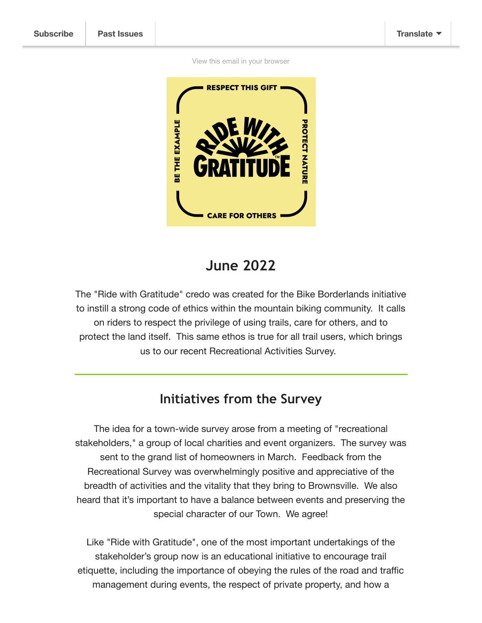View this email in your browser



## **June 2022**

The "Ride with Gratitude" credo was created for the Bike Borderlands initiative to instill a strong code of ethics within the mountain biking community. It calls on riders to respect the privilege of using trails, care for others, and to protect the land itself. This same ethos is true for all trail users, which brings us to our recent Recreational Activities Survey.

## **Initiatives from the Survey**

The idea for a town-wide survey arose from a meeting of "recreational stakeholders," a group of local charities and event organizers. The survey was sent to the grand list of homeowners in March. Feedback from the Recreational Survey was overwhelmingly positive and appreciative of the breadth of activities and the vitality that they bring to Brownsville. We also heard that it's important to have a balance between events and preserving the special character of our Town. We agree!

Like "Ride with Gratitude", one of the most important undertakings of the stakeholder's group now is an educational initiative to encourage trail etiquette, including the importance of obeying the rules of the road and traffic management during events, the respect of private property, and how a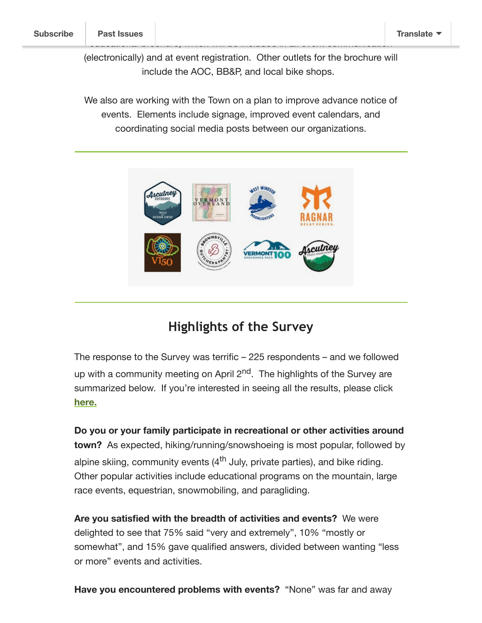(electronically) and at event registration. Other outlets for the brochure will include the AOC, BB&P, and local bike shops.

educational brochure, which will be included in all event communication

We also are working with the Town on a plan to improve advance notice of events. Elements include signage, improved event calendars, and coordinating social media posts between our organizations.



## **Highlights of the Survey**

The response to the Survey was terrific – 225 respondents – and we followed up with a community meeting on April  $2<sup>nd</sup>$ . The highlights of the Survey are summarized below. If you're interested in seeing all the results, please click here.

Do you or your family participate in recreational or other activities around town? As expected, hiking/running/snowshoeing is most popular, followed by alpine skiing, community events  $(4<sup>th</sup>$  July, private parties), and bike riding. Other popular activities include educational programs on the mountain, large race events, equestrian, snowmobiling, and paragliding.

Are you satisfied with the breadth of activities and events? We were delighted to see that 75% said "very and extremely", 10% "mostly or somewhat", and 15% gave qualified answers, divided between wanting "less or more" events and activities.

Have you encountered problems with events? "None" was far and away